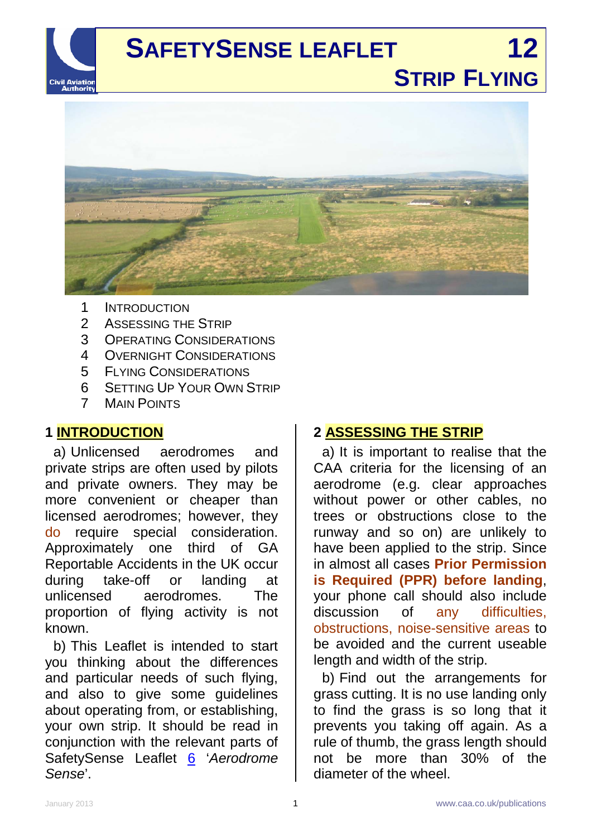



- 1 INTRODUCTION
- 2 ASSESSING THE STRIP
- 3 OPERATING CONSIDERATIONS
- 4 OVERNIGHT CONSIDERATIONS
- 5 FLYING CONSIDERATIONS<br>6 SETTING UP YOUR OWN S
- SETTING UP YOUR OWN STRIP
- 7 MAIN POINTS

# **1 INTRODUCTION**

a) Unlicensed aerodromes and private strips are often used by pilots and private owners. They may be more convenient or cheaper than licensed aerodromes; however, they do require special consideration. Approximately one third of GA Reportable Accidents in the UK occur during take-off or landing at unlicensed aerodromes. The proportion of flying activity is not known.

b) This Leaflet is intended to start you thinking about the differences and particular needs of such flying, and also to give some guidelines about operating from, or establishing, your own strip. It should be read in conjunction with the relevant parts of SafetySense Leaflet [6](http://www.caa.co.uk/safetysenseleaflet06) '*Aerodrome Sense*'.

# **2 ASSESSING THE STRIP**

a) It is important to realise that the CAA criteria for the licensing of an aerodrome (e.g. clear approaches without power or other cables, no trees or obstructions close to the runway and so on) are unlikely to have been applied to the strip. Since in almost all cases **Prior Permission is Required (PPR) before landing**, your phone call should also include discussion of any difficulties, obstructions, noise-sensitive areas to be avoided and the current useable length and width of the strip.

b) Find out the arrangements for grass cutting. It is no use landing only to find the grass is so long that it prevents you taking off again. As a rule of thumb, the grass length should not be more than 30% of the diameter of the wheel.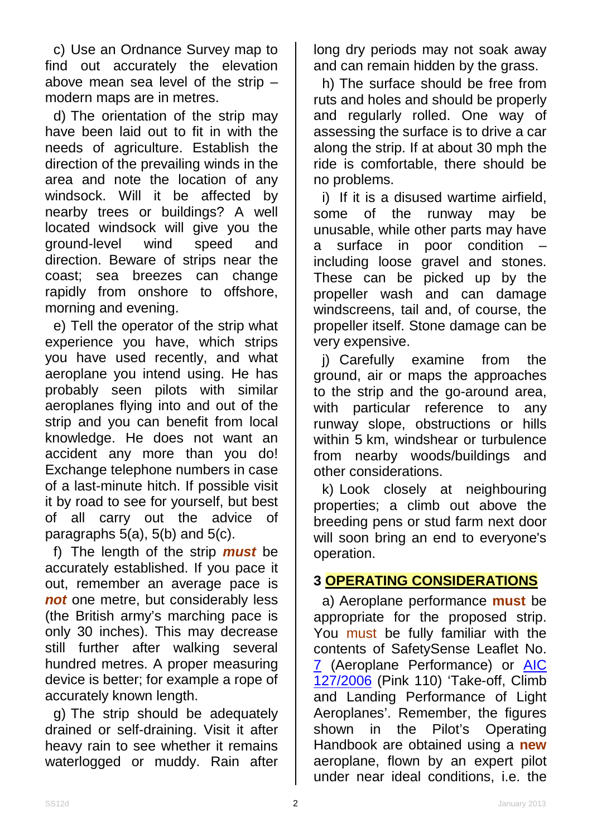c) Use an Ordnance Survey map to find out accurately the elevation above mean sea level of the strip – modern maps are in metres.

d) The orientation of the strip may have been laid out to fit in with the needs of agriculture. Establish the direction of the prevailing winds in the area and note the location of any windsock. Will it be affected by nearby trees or buildings? A well located windsock will give you the ground-level wind speed and direction. Beware of strips near the coast; sea breezes can change rapidly from onshore to offshore, morning and evening.

e) Tell the operator of the strip what experience you have, which strips you have used recently, and what aeroplane you intend using. He has probably seen pilots with similar aeroplanes flying into and out of the strip and you can benefit from local knowledge. He does not want an accident any more than you do! Exchange telephone numbers in case of a last-minute hitch. If possible visit it by road to see for yourself, but best of all carry out the advice of paragraphs  $5(a)$ ,  $5(b)$  and  $5(c)$ .

f) The length of the strip *must* be accurately established. If you pace it out, remember an average pace is *not* one metre, but considerably less (the British army's marching pace is only 30 inches). This may decrease still further after walking several hundred metres. A proper measuring device is better; for example a rope of accurately known length.

g) The strip should be adequately drained or self-draining. Visit it after heavy rain to see whether it remains waterlogged or muddy. Rain after long dry periods may not soak away and can remain hidden by the grass.

h) The surface should be free from ruts and holes and should be properly and regularly rolled. One way of assessing the surface is to drive a car along the strip. If at about 30 mph the ride is comfortable, there should be no problems.

i) If it is a disused wartime airfield, some of the runway may be unusable, while other parts may have a surface in poor condition – including loose gravel and stones. These can be picked up by the propeller wash and can damage windscreens, tail and, of course, the propeller itself. Stone damage can be very expensive.

j) Carefully examine from the ground, air or maps the approaches to the strip and the go-around area, with particular reference to any runway slope, obstructions or hills within 5 km, windshear or turbulence from nearby woods/buildings and other considerations.

k) Look closely at neighbouring properties; a climb out above the breeding pens or stud farm next door will soon bring an end to everyone's operation.

## **3 OPERATING CONSIDERATIONS**

a) Aeroplane performance **must** be appropriate for the proposed strip. You must be fully familiar with the contents of SafetySense Leaflet No. [7](http://www.caa.co.uk/safetysenseleaflet07) (Aeroplane Performance) or [AIC](http://www.nats-uk.ead-it.com/public/index.php%3Foption=com_content&task=blogcategory&id=161&Itemid=58.html)  [127/2006](http://www.nats-uk.ead-it.com/public/index.php%3Foption=com_content&task=blogcategory&id=161&Itemid=58.html) (Pink 110) 'Take-off, Climb and Landing Performance of Light Aeroplanes'. Remember, the figures shown in the Pilot's Operating Handbook are obtained using a **new** aeroplane, flown by an expert pilot under near ideal conditions, i.e. the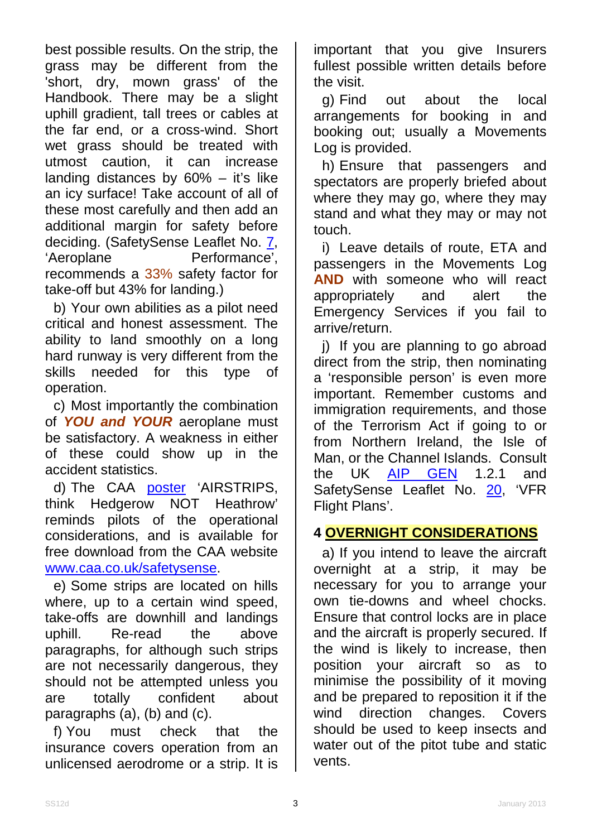best possible results. On the strip, the grass may be different from the 'short, dry, mown grass' of the Handbook. There may be a slight uphill gradient, tall trees or cables at the far end, or a cross-wind. Short wet grass should be treated with utmost caution, it can increase landing distances by  $60\%$  – it's like an icy surface! Take account of all of these most carefully and then add an additional margin for safety before deciding. (SafetySense Leaflet No. [7,](http://www.caa.co.uk/safetysenseleaflet07)<br>'Aeroplane Performance'. Performance', recommends a 33% safety factor for take-off but 43% for landing.)

b) Your own abilities as a pilot need critical and honest assessment. The ability to land smoothly on a long hard runway is very different from the skills needed for this type of operation.

c) Most importantly the combination of *YOU and YOUR* aeroplane must be satisfactory. A weakness in either of these could show up in the accident statistics.

d) The CAA [poster](http://www.caa.co.uk/application.aspx?catid=33&pagetype=65&appid=11&mode=detail&id=2163) 'AIRSTRIPS, think Hedgerow NOT Heathrow' reminds pilots of the operational considerations, and is available for free download from the CAA website [www.caa.co.uk/safetysense.](http://www.caa.co.uk/safetysense)

e) Some strips are located on hills where, up to a certain wind speed, take-offs are downhill and landings uphill. Re-read the above paragraphs, for although such strips are not necessarily dangerous, they should not be attempted unless you are totally confident about paragraphs (a), (b) and (c).

f) You must check that the insurance covers operation from an unlicensed aerodrome or a strip. It is

important that you give Insurers fullest possible written details before the visit.

g) Find out about the local arrangements for booking in and booking out; usually a Movements Log is provided.

h) Ensure that passengers and spectators are properly briefed about where they may go, where they may stand and what they may or may not touch.

i) Leave details of route, ETA and passengers in the Movements Log **AND** with someone who will react appropriately and alert the Emergency Services if you fail to arrive/return.

j) If you are planning to go abroad direct from the strip, then nominating a 'responsible person' is even more important. Remember customs and immigration requirements, and those of the Terrorism Act if going to or from Northern Ireland, the Isle of Man, or the Channel Islands. Consult the UK [AIP GEN](http://www.nats-uk.ead-it.com/public/index.php%3Foption=com_content&task=blogcategory&id=3&Itemid=10.html) 1.2.1 and SafetySense Leaflet No. [20,](http://www.caa.co.uk/safetysenseleaflet20) 'VFR Flight Plans'.

# **4 OVERNIGHT CONSIDERATIONS**

a) If you intend to leave the aircraft overnight at a strip, it may be necessary for you to arrange your own tie-downs and wheel chocks. Ensure that control locks are in place and the aircraft is properly secured. If the wind is likely to increase, then position your aircraft so as to minimise the possibility of it moving and be prepared to reposition it if the wind direction changes. Covers should be used to keep insects and water out of the pitot tube and static vents.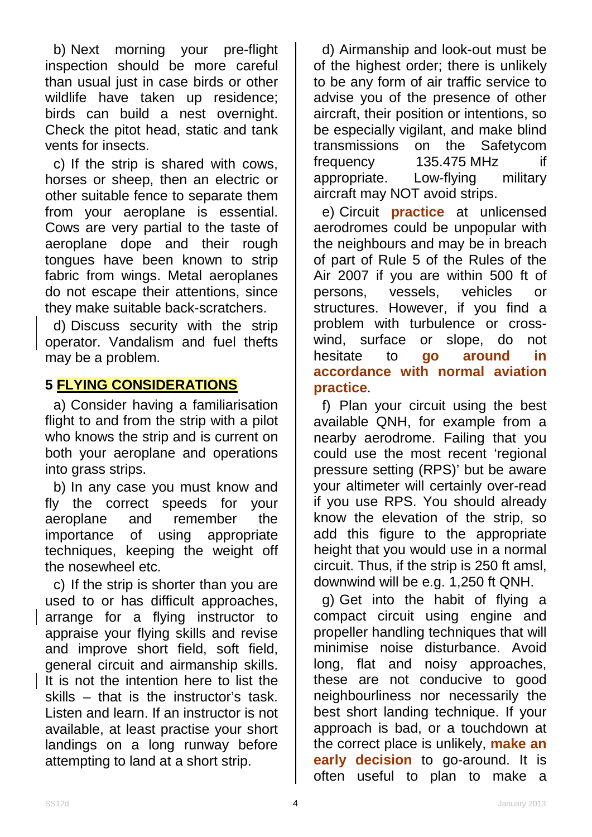b) Next morning your pre-flight inspection should be more careful than usual just in case birds or other wildlife have taken up residence; birds can build a nest overnight. Check the pitot head, static and tank vents for insects.

c) If the strip is shared with cows, horses or sheep, then an electric or other suitable fence to separate them from your aeroplane is essential. Cows are very partial to the taste of aeroplane dope and their rough tongues have been known to strip fabric from wings. Metal aeroplanes do not escape their attentions, since they make suitable back-scratchers.

d) Discuss security with the strip operator. Vandalism and fuel thefts may be a problem.

## **5 FLYING CONSIDERATIONS**

a) Consider having a familiarisation flight to and from the strip with a pilot who knows the strip and is current on both your aeroplane and operations into grass strips.

b) In any case you must know and fly the correct speeds for your aeroplane and remember the importance of using appropriate techniques, keeping the weight off the nosewheel etc.

c) If the strip is shorter than you are used to or has difficult approaches, arrange for a flying instructor to appraise your flying skills and revise and improve short field, soft field, general circuit and airmanship skills. It is not the intention here to list the skills – that is the instructor's task. Listen and learn. If an instructor is not available, at least practise your short landings on a long runway before attempting to land at a short strip.

d) Airmanship and look-out must be of the highest order; there is unlikely to be any form of air traffic service to advise you of the presence of other aircraft, their position or intentions, so be especially vigilant, and make blind transmissions on the Safetycom frequency 135.475 MHz if<br>appropriate. Low-flying military appropriate. Low-flying aircraft may NOT avoid strips.

e) Circuit **practice** at unlicensed aerodromes could be unpopular with the neighbours and may be in breach of part of Rule 5 of the Rules of the Air 2007 if you are within 500 ft of persons, vessels, vehicles or structures. However, if you find a problem with turbulence or crosswind, surface or slope, do not hesitate to **go around in accordance with normal aviation practice**.

f) Plan your circuit using the best available QNH, for example from a nearby aerodrome. Failing that you could use the most recent 'regional pressure setting (RPS)' but be aware your altimeter will certainly over-read if you use RPS. You should already know the elevation of the strip, so add this figure to the appropriate height that you would use in a normal circuit. Thus, if the strip is 250 ft amsl, downwind will be e.g. 1,250 ft QNH.

g) Get into the habit of flying a compact circuit using engine and propeller handling techniques that will minimise noise disturbance. Avoid long, flat and noisy approaches, these are not conducive to good neighbourliness nor necessarily the best short landing technique. If your approach is bad, or a touchdown at the correct place is unlikely, **make an early decision** to go-around. It is often useful to plan to make a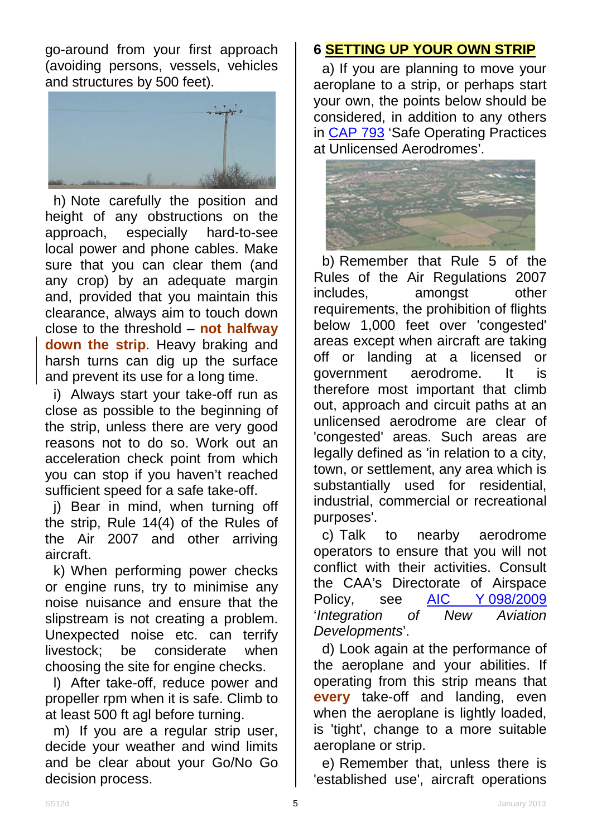go-around from your first approach (avoiding persons, vessels, vehicles and structures by 500 feet).



h) Note carefully the position and height of any obstructions on the approach, especially hard-to-see local power and phone cables. Make sure that you can clear them (and any crop) by an adequate margin and, provided that you maintain this clearance, always aim to touch down close to the threshold – **not halfway down the strip**. Heavy braking and harsh turns can dig up the surface and prevent its use for a long time.

i) Always start your take-off run as close as possible to the beginning of the strip, unless there are very good reasons not to do so. Work out an acceleration check point from which you can stop if you haven't reached sufficient speed for a safe take-off.

j) Bear in mind, when turning off the strip, Rule 14(4) of the Rules of the Air 2007 and other arriving aircraft.

k) When performing power checks or engine runs, try to minimise any noise nuisance and ensure that the slipstream is not creating a problem. Unexpected noise etc. can terrify livestock; be considerate when choosing the site for engine checks.

l) After take-off, reduce power and propeller rpm when it is safe. Climb to at least 500 ft agl before turning.

m) If you are a regular strip user, decide your weather and wind limits and be clear about your Go/No Go decision process.

# **6 SETTING UP YOUR OWN STRIP**

a) If you are planning to move your aeroplane to a strip, or perhaps start your own, the points below should be considered, in addition to any others in [CAP 793](http://www.caa.co.uk/cap793) 'Safe Operating Practices at Unlicensed Aerodromes'.



b) Remember that Rule 5 of the Rules of the Air Regulations 2007 includes, amongst other requirements, the prohibition of flights below 1,000 feet over 'congested' areas except when aircraft are taking off or landing at a licensed or government aerodrome. It is therefore most important that climb out, approach and circuit paths at an unlicensed aerodrome are clear of 'congested' areas. Such areas are legally defined as 'in relation to a city, town, or settlement, any area which is substantially used for residential, industrial, commercial or recreational purposes'.

c) Talk to nearby aerodrome operators to ensure that you will not conflict with their activities. Consult the CAA's Directorate of Airspace Policy, see [AIC Y](http://www.nats-uk.ead-it.com/public/index.php%3Foption=com_content&task=blogcategory&id=160&Itemid=57.html) 098/2009<br>
'Integration of New Aviation '*Integration* of New *Developments*'.

d) Look again at the performance of the aeroplane and your abilities. If operating from this strip means that **every** take-off and landing, even when the aeroplane is lightly loaded, is 'tight', change to a more suitable aeroplane or strip.

e) Remember that, unless there is 'established use', aircraft operations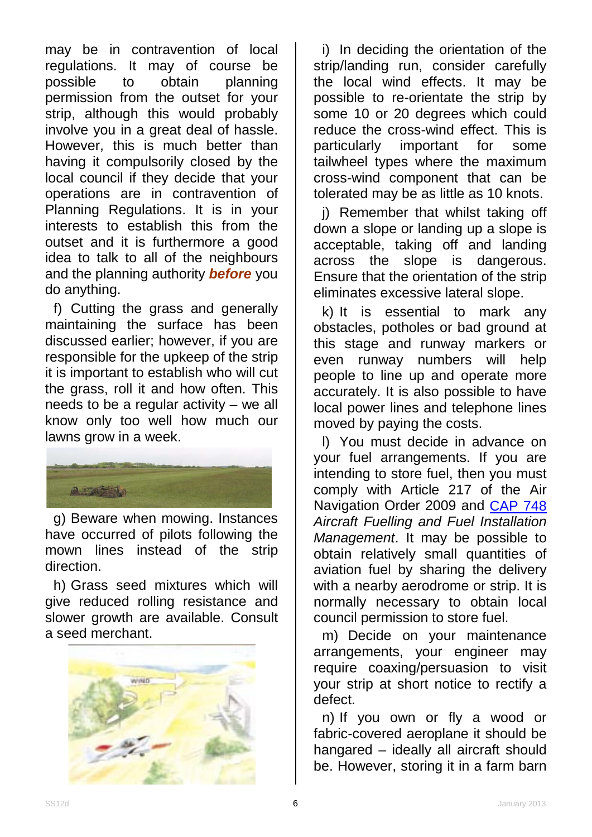may be in contravention of local regulations. It may of course be possible to obtain planning permission from the outset for your strip, although this would probably involve you in a great deal of hassle. However, this is much better than having it compulsorily closed by the local council if they decide that your operations are in contravention of Planning Regulations. It is in your interests to establish this from the outset and it is furthermore a good idea to talk to all of the neighbours and the planning authority *before* you do anything.

f) Cutting the grass and generally maintaining the surface has been discussed earlier; however, if you are responsible for the upkeep of the strip it is important to establish who will cut the grass, roll it and how often. This needs to be a regular activity – we all know only too well how much our lawns grow in a week.



g) Beware when mowing. Instances have occurred of pilots following the mown lines instead of the strip direction.

h) Grass seed mixtures which will give reduced rolling resistance and slower growth are available. Consult a seed merchant.



i) In deciding the orientation of the strip/landing run, consider carefully the local wind effects. It may be possible to re-orientate the strip by some 10 or 20 degrees which could reduce the cross-wind effect. This is particularly important for some tailwheel types where the maximum cross-wind component that can be tolerated may be as little as 10 knots.

j) Remember that whilst taking off down a slope or landing up a slope is acceptable, taking off and landing across the slope is dangerous. Ensure that the orientation of the strip eliminates excessive lateral slope.

k) It is essential to mark any obstacles, potholes or bad ground at this stage and runway markers or even runway numbers will help people to line up and operate more accurately. It is also possible to have local power lines and telephone lines moved by paying the costs.

l) You must decide in advance on your fuel arrangements. If you are intending to store fuel, then you must comply with Article 217 of the Air Navigation Order 2009 and [CAP 748](http://www.caa.co.uk/cap748) *Aircraft Fuelling and Fuel Installation Management*. It may be possible to obtain relatively small quantities of aviation fuel by sharing the delivery with a nearby aerodrome or strip. It is normally necessary to obtain local council permission to store fuel.

m) Decide on your maintenance arrangements, your engineer may require coaxing/persuasion to visit your strip at short notice to rectify a defect.

n) If you own or fly a wood or fabric-covered aeroplane it should be hangared – ideally all aircraft should be. However, storing it in a farm barn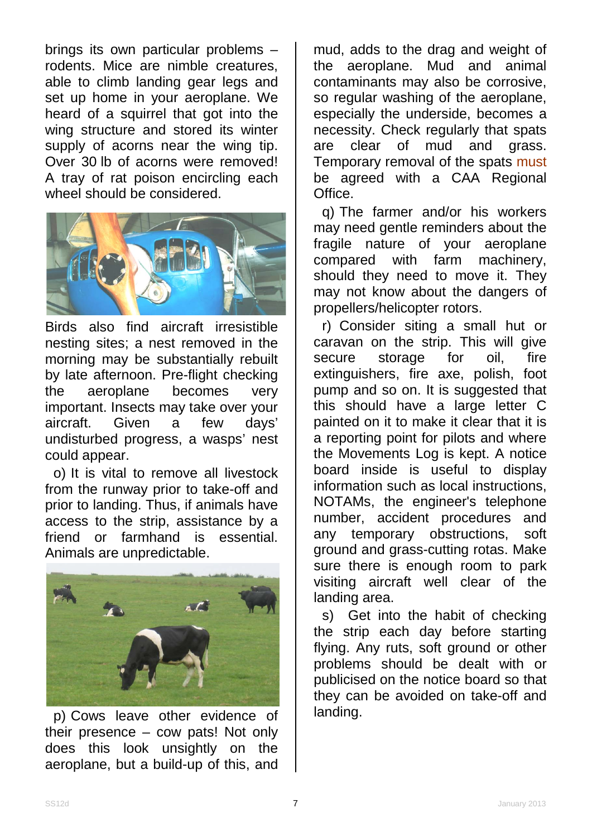brings its own particular problems – rodents. Mice are nimble creatures, able to climb landing gear legs and set up home in your aeroplane. We heard of a squirrel that got into the wing structure and stored its winter supply of acorns near the wing tip. Over 30 lb of acorns were removed! A tray of rat poison encircling each wheel should be considered.



Birds also find aircraft irresistible nesting sites; a nest removed in the morning may be substantially rebuilt by late afternoon. Pre-flight checking the aeroplane becomes very important. Insects may take over your aircraft. Given a few days' undisturbed progress, a wasps' nest could appear.

o) It is vital to remove all livestock from the runway prior to take-off and prior to landing. Thus, if animals have access to the strip, assistance by a friend or farmhand is essential. Animals are unpredictable.



p) Cows leave other evidence of their presence – cow pats! Not only does this look unsightly on the aeroplane, but a build-up of this, and

mud, adds to the drag and weight of the aeroplane. Mud and animal contaminants may also be corrosive, so regular washing of the aeroplane, especially the underside, becomes a necessity. Check regularly that spats are clear of mud and grass. Temporary removal of the spats must be agreed with a CAA Regional Office.

q) The farmer and/or his workers may need gentle reminders about the fragile nature of your aeroplane compared with farm machinery, should they need to move it. They may not know about the dangers of propellers/helicopter rotors.

r) Consider siting a small hut or caravan on the strip. This will give<br>secure storage for oil. fire secure storage for oil, fire extinguishers, fire axe, polish, foot pump and so on. It is suggested that this should have a large letter C painted on it to make it clear that it is a reporting point for pilots and where the Movements Log is kept. A notice board inside is useful to display information such as local instructions, NOTAMs, the engineer's telephone number, accident procedures and any temporary obstructions, soft ground and grass-cutting rotas. Make sure there is enough room to park visiting aircraft well clear of the landing area.

s) Get into the habit of checking the strip each day before starting flying. Any ruts, soft ground or other problems should be dealt with or publicised on the notice board so that they can be avoided on take-off and landing.